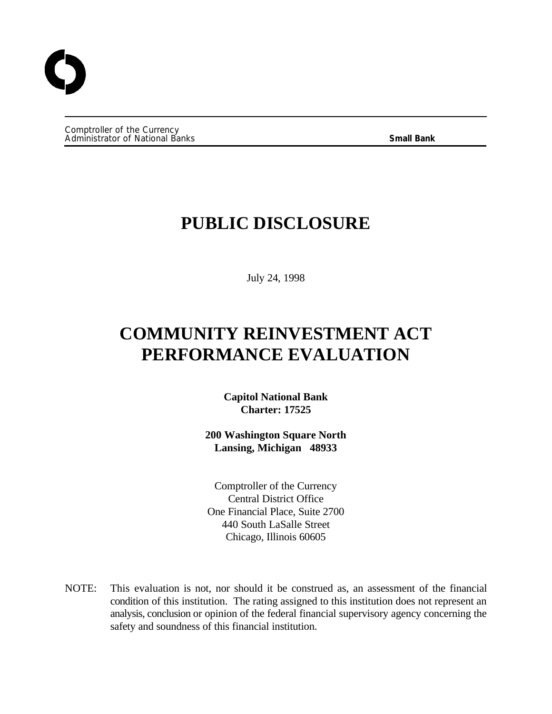Comptroller of the Currency Administrator of National Banks **Small Bank**

## **PUBLIC DISCLOSURE**

July 24, 1998

# **COMMUNITY REINVESTMENT ACT PERFORMANCE EVALUATION**

**Capitol National Bank Charter: 17525**

**200 Washington Square North Lansing, Michigan 48933**

Comptroller of the Currency Central District Office One Financial Place, Suite 2700 440 South LaSalle Street Chicago, Illinois 60605

NOTE: This evaluation is not, nor should it be construed as, an assessment of the financial condition of this institution. The rating assigned to this institution does not represent an analysis, conclusion or opinion of the federal financial supervisory agency concerning the safety and soundness of this financial institution.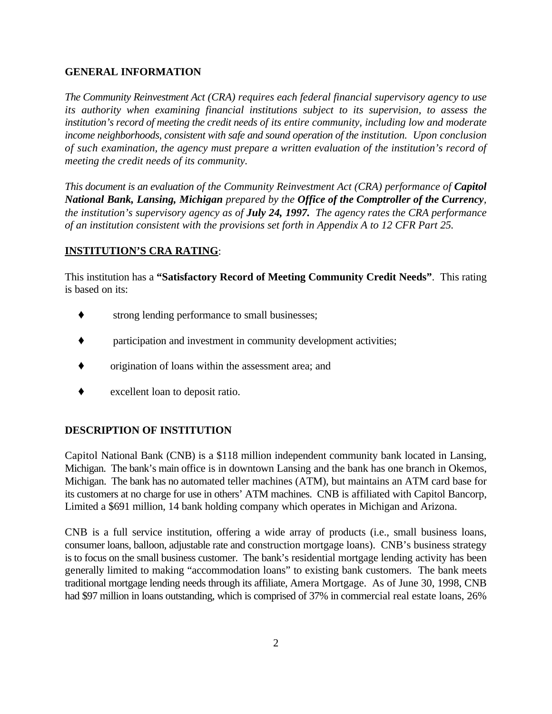#### **GENERAL INFORMATION**

*The Community Reinvestment Act (CRA) requires each federal financial supervisory agency to use its authority when examining financial institutions subject to its supervision, to assess the institution's record of meeting the credit needs of its entire community, including low and moderate income neighborhoods, consistent with safe and sound operation of the institution. Upon conclusion of such examination, the agency must prepare a written evaluation of the institution's record of meeting the credit needs of its community.*

*This document is an evaluation of the Community Reinvestment Act (CRA) performance of Capitol National Bank, Lansing, Michigan prepared by the Office of the Comptroller of the Currency, the institution's supervisory agency as of July 24, 1997. The agency rates the CRA performance of an institution consistent with the provisions set forth in Appendix A to 12 CFR Part 25.*

### **INSTITUTION'S CRA RATING**:

This institution has a **"Satisfactory Record of Meeting Community Credit Needs"**. This rating is based on its:

- strong lending performance to small businesses;
- $\bullet$  participation and investment in community development activities;
- origination of loans within the assessment area; and
- excellent loan to deposit ratio.

#### **DESCRIPTION OF INSTITUTION**

Capitol National Bank (CNB) is a \$118 million independent community bank located in Lansing, Michigan. The bank's main office is in downtown Lansing and the bank has one branch in Okemos, Michigan. The bank has no automated teller machines (ATM), but maintains an ATM card base for its customers at no charge for use in others' ATM machines. CNB is affiliated with Capitol Bancorp, Limited a \$691 million, 14 bank holding company which operates in Michigan and Arizona.

CNB is a full service institution, offering a wide array of products (i.e., small business loans, consumer loans, balloon, adjustable rate and construction mortgage loans). CNB's business strategy is to focus on the small business customer. The bank's residential mortgage lending activity has been generally limited to making "accommodation loans" to existing bank customers. The bank meets traditional mortgage lending needs through its affiliate, Amera Mortgage. As of June 30, 1998, CNB had \$97 million in loans outstanding, which is comprised of 37% in commercial real estate loans, 26%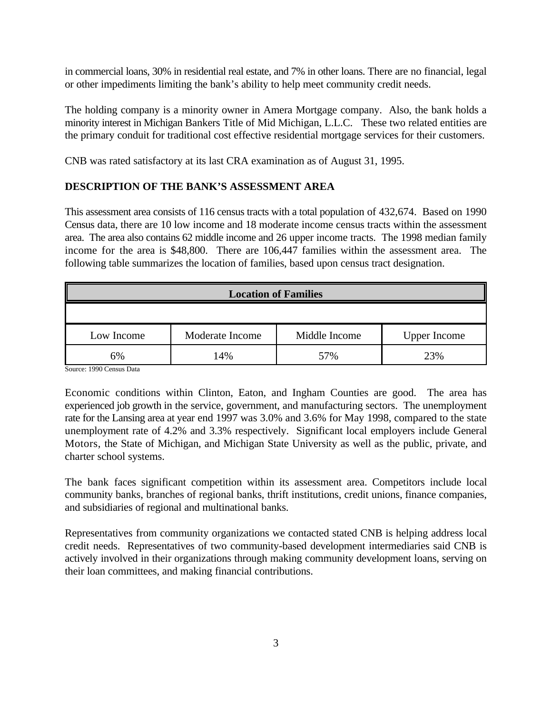in commercial loans, 30% in residential real estate, and 7% in other loans. There are no financial, legal or other impediments limiting the bank's ability to help meet community credit needs.

The holding company is a minority owner in Amera Mortgage company. Also, the bank holds a minority interest in Michigan Bankers Title of Mid Michigan, L.L.C. These two related entities are the primary conduit for traditional cost effective residential mortgage services for their customers.

CNB was rated satisfactory at its last CRA examination as of August 31, 1995.

#### **DESCRIPTION OF THE BANK'S ASSESSMENT AREA**

This assessment area consists of 116 census tracts with a total population of 432,674. Based on 1990 Census data, there are 10 low income and 18 moderate income census tracts within the assessment area. The area also contains 62 middle income and 26 upper income tracts. The 1998 median family income for the area is \$48,800. There are 106,447 families within the assessment area. The following table summarizes the location of families, based upon census tract designation.

| <b>Location of Families</b>                                           |     |     |     |  |  |  |  |
|-----------------------------------------------------------------------|-----|-----|-----|--|--|--|--|
|                                                                       |     |     |     |  |  |  |  |
| Moderate Income<br>Middle Income<br><b>Upper Income</b><br>Low Income |     |     |     |  |  |  |  |
| 6%                                                                    | 14% | 57% | 23% |  |  |  |  |

Source: 1990 Census Data

Economic conditions within Clinton, Eaton, and Ingham Counties are good. The area has experienced job growth in the service, government, and manufacturing sectors. The unemployment rate for the Lansing area at year end 1997 was 3.0% and 3.6% for May 1998, compared to the state unemployment rate of 4.2% and 3.3% respectively. Significant local employers include General Motors, the State of Michigan, and Michigan State University as well as the public, private, and charter school systems.

The bank faces significant competition within its assessment area. Competitors include local community banks, branches of regional banks, thrift institutions, credit unions, finance companies, and subsidiaries of regional and multinational banks.

Representatives from community organizations we contacted stated CNB is helping address local credit needs. Representatives of two community-based development intermediaries said CNB is actively involved in their organizations through making community development loans, serving on their loan committees, and making financial contributions.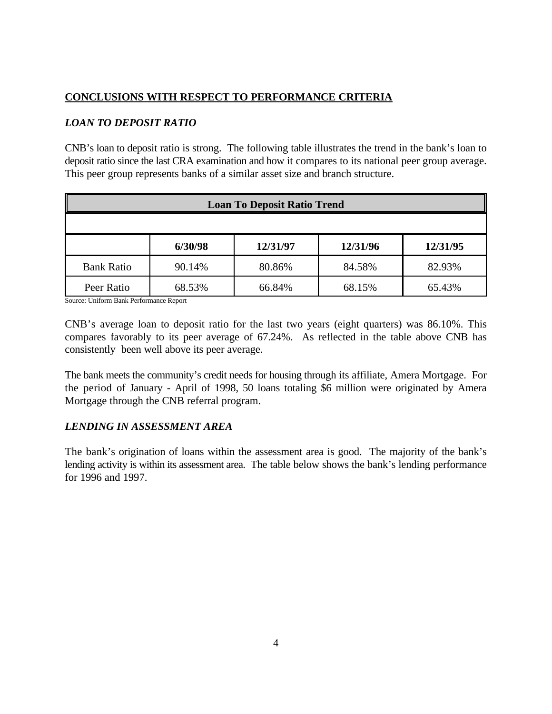### **CONCLUSIONS WITH RESPECT TO PERFORMANCE CRITERIA**

#### *LOAN TO DEPOSIT RATIO*

CNB's loan to deposit ratio is strong. The following table illustrates the trend in the bank's loan to deposit ratio since the last CRA examination and how it compares to its national peer group average. This peer group represents banks of a similar asset size and branch structure.

| <b>Loan To Deposit Ratio Trend</b>          |        |        |        |        |  |  |  |
|---------------------------------------------|--------|--------|--------|--------|--|--|--|
|                                             |        |        |        |        |  |  |  |
| 6/30/98<br>12/31/96<br>12/31/97<br>12/31/95 |        |        |        |        |  |  |  |
| <b>Bank Ratio</b>                           | 90.14% | 80.86% | 84.58% | 82.93% |  |  |  |
| Peer Ratio                                  | 68.53% | 66.84% | 68.15% | 65.43% |  |  |  |

Source: Uniform Bank Performance Report

CNB's average loan to deposit ratio for the last two years (eight quarters) was 86.10%. This compares favorably to its peer average of 67.24%. As reflected in the table above CNB has consistently been well above its peer average.

The bank meets the community's credit needs for housing through its affiliate, Amera Mortgage. For the period of January - April of 1998, 50 loans totaling \$6 million were originated by Amera Mortgage through the CNB referral program.

#### *LENDING IN ASSESSMENT AREA*

The bank's origination of loans within the assessment area is good. The majority of the bank's lending activity is within its assessment area. The table below shows the bank's lending performance for 1996 and 1997.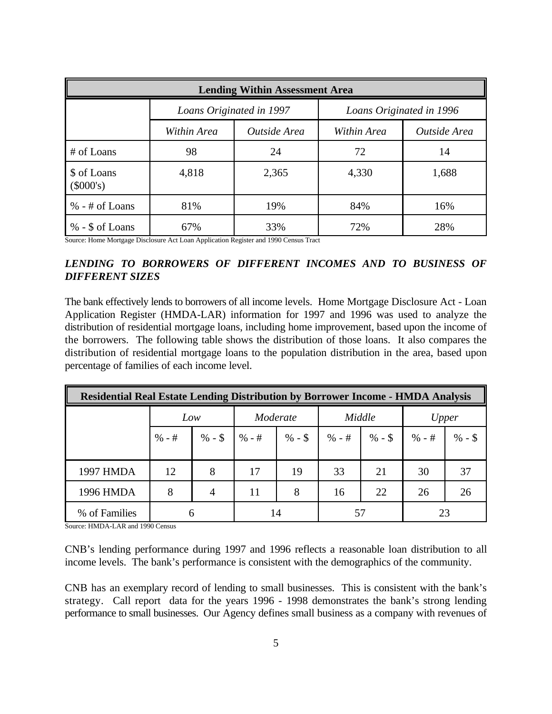| <b>Lending Within Assessment Area</b> |                          |              |                             |       |  |  |  |
|---------------------------------------|--------------------------|--------------|-----------------------------|-------|--|--|--|
|                                       | Loans Originated in 1997 |              | Loans Originated in 1996    |       |  |  |  |
|                                       | Within Area              | Outside Area | Outside Area<br>Within Area |       |  |  |  |
| # of Loans                            | 98                       | 24           | 72                          | 14    |  |  |  |
| \$ of Loans<br>$(\$000's)$            | 4,818                    | 2,365        | 4,330                       | 1,688 |  |  |  |
| $% -#$ of Loans                       | 81%                      | 19%          | 84%                         | 16%   |  |  |  |
| $% -$ \$ of Loans                     | 67%                      | 33%          | 72%                         | 28%   |  |  |  |

Source: Home Mortgage Disclosure Act Loan Application Register and 1990 Census Tract

#### *LENDING TO BORROWERS OF DIFFERENT INCOMES AND TO BUSINESS OF DIFFERENT SIZES*

The bank effectively lends to borrowers of all income levels. Home Mortgage Disclosure Act - Loan Application Register (HMDA-LAR) information for 1997 and 1996 was used to analyze the distribution of residential mortgage loans, including home improvement, based upon the income of the borrowers. The following table shows the distribution of those loans. It also compares the distribution of residential mortgage loans to the population distribution in the area, based upon percentage of families of each income level.

| <b>Residential Real Estate Lending Distribution by Borrower Income - HMDA Analysis</b> |     |   |          |                                                                             |        |    |       |          |
|----------------------------------------------------------------------------------------|-----|---|----------|-----------------------------------------------------------------------------|--------|----|-------|----------|
|                                                                                        | Low |   | Moderate |                                                                             | Middle |    | Upper |          |
|                                                                                        |     |   |          | $\%$ - # $\%$ - \$ $\%$ - # $\%$ - \$ $\%$ - \$ $\%$ - # $\%$ - \$ $\%$ - # |        |    |       | $% -$ \$ |
| 1997 HMDA                                                                              | 12  | 8 | 17       | 19                                                                          | 33     | 21 | 30    | 37       |
| 1996 HMDA                                                                              | 8   |   | 11       | 8                                                                           | 16     | 22 | 26    | 26       |
| % of Families                                                                          | 6   |   |          | 14                                                                          | 57     |    |       |          |

Source: HMDA-LAR and 1990 Census

CNB's lending performance during 1997 and 1996 reflects a reasonable loan distribution to all income levels. The bank's performance is consistent with the demographics of the community.

CNB has an exemplary record of lending to small businesses. This is consistent with the bank's strategy. Call report data for the years 1996 - 1998 demonstrates the bank's strong lending performance to small businesses. Our Agency defines small business as a company with revenues of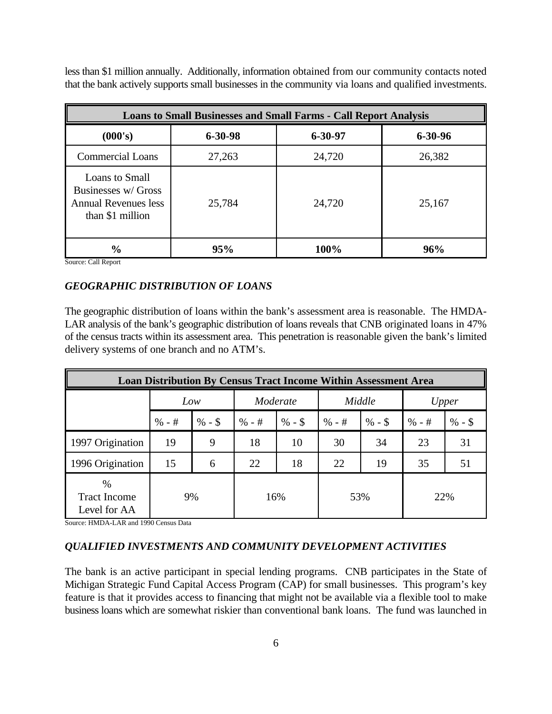less than \$1 million annually. Additionally, information obtained from our community contacts noted that the bank actively supports small businesses in the community via loans and qualified investments.

| <b>Loans to Small Businesses and Small Farms - Call Report Analysis</b>           |               |               |               |  |  |  |  |
|-----------------------------------------------------------------------------------|---------------|---------------|---------------|--|--|--|--|
| (000's)                                                                           | $6 - 30 - 98$ | $6 - 30 - 97$ | $6 - 30 - 96$ |  |  |  |  |
| <b>Commercial Loans</b>                                                           | 27,263        | 24,720        | 26,382        |  |  |  |  |
| Loans to Small<br>Businesses w/ Gross<br>Annual Revenues less<br>than \$1 million | 25,784        | 24,720        | 25,167        |  |  |  |  |
| $\frac{0}{0}$                                                                     | 95%           | 100%          | 96%           |  |  |  |  |

Source: Call Report

#### *GEOGRAPHIC DISTRIBUTION OF LOANS*

The geographic distribution of loans within the bank's assessment area is reasonable. The HMDA-LAR analysis of the bank's geographic distribution of loans reveals that CNB originated loans in 47% of the census tracts within its assessment area. This penetration is reasonable given the bank's limited delivery systems of one branch and no ATM's.

| <b>Loan Distribution By Census Tract Income Within Assessment Area</b> |        |          |          |          |        |          |        |          |
|------------------------------------------------------------------------|--------|----------|----------|----------|--------|----------|--------|----------|
|                                                                        | Low    |          | Moderate |          | Middle |          | Upper  |          |
|                                                                        | $% -#$ | $% -$ \$ | $% -#$   | $% -$ \$ | $% -#$ | $% -$ \$ | $% -#$ | $% -$ \$ |
| 1997 Origination                                                       | 19     | 9        | 18       | 10       | 30     | 34       | 23     | 31       |
| 1996 Origination                                                       | 15     | 6        | 22       | 18       | 22     | 19       | 35     | 51       |
| $\frac{0}{0}$<br><b>Tract Income</b><br>Level for AA                   | 9%     |          |          | 16%      | 53%    |          | 22%    |          |

Source: HMDA-LAR and 1990 Census Data

#### *QUALIFIED INVESTMENTS AND COMMUNITY DEVELOPMENT ACTIVITIES*

The bank is an active participant in special lending programs. CNB participates in the State of Michigan Strategic Fund Capital Access Program (CAP) for small businesses. This program's key feature is that it provides access to financing that might not be available via a flexible tool to make business loans which are somewhat riskier than conventional bank loans. The fund was launched in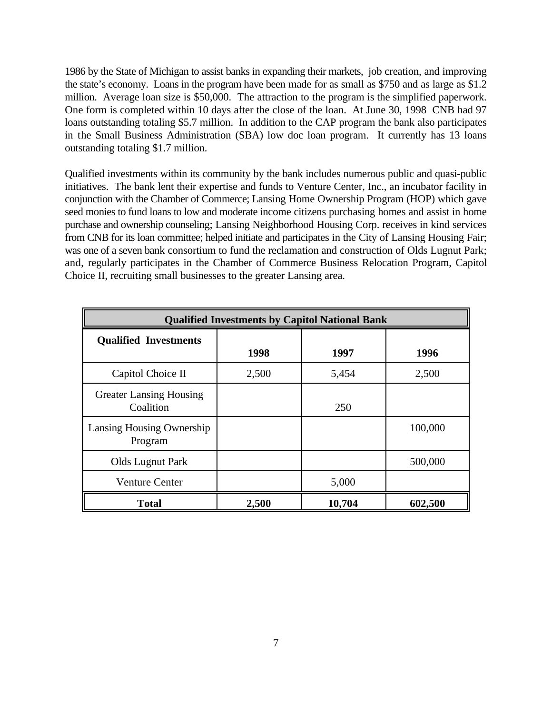1986 by the State of Michigan to assist banks in expanding their markets, job creation, and improving the state's economy. Loans in the program have been made for as small as \$750 and as large as \$1.2 million. Average loan size is \$50,000. The attraction to the program is the simplified paperwork. One form is completed within 10 days after the close of the loan. At June 30, 1998 CNB had 97 loans outstanding totaling \$5.7 million. In addition to the CAP program the bank also participates in the Small Business Administration (SBA) low doc loan program. It currently has 13 loans outstanding totaling \$1.7 million.

Qualified investments within its community by the bank includes numerous public and quasi-public initiatives. The bank lent their expertise and funds to Venture Center, Inc., an incubator facility in conjunction with the Chamber of Commerce; Lansing Home Ownership Program (HOP) which gave seed monies to fund loans to low and moderate income citizens purchasing homes and assist in home purchase and ownership counseling; Lansing Neighborhood Housing Corp. receives in kind services from CNB for its loan committee; helped initiate and participates in the City of Lansing Housing Fair; was one of a seven bank consortium to fund the reclamation and construction of Olds Lugnut Park; and, regularly participates in the Chamber of Commerce Business Relocation Program, Capitol Choice II, recruiting small businesses to the greater Lansing area.

| <b>Qualified Investments by Capitol National Bank</b> |       |        |         |  |  |  |
|-------------------------------------------------------|-------|--------|---------|--|--|--|
| <b>Qualified Investments</b>                          | 1998  | 1997   | 1996    |  |  |  |
| Capitol Choice II                                     | 2,500 | 5,454  | 2,500   |  |  |  |
| <b>Greater Lansing Housing</b><br>Coalition           |       | 250    |         |  |  |  |
| Lansing Housing Ownership<br>Program                  |       |        | 100,000 |  |  |  |
| Olds Lugnut Park                                      |       |        | 500,000 |  |  |  |
| <b>Venture Center</b>                                 |       | 5,000  |         |  |  |  |
| <b>Total</b>                                          | 2,500 | 10,704 | 602,500 |  |  |  |